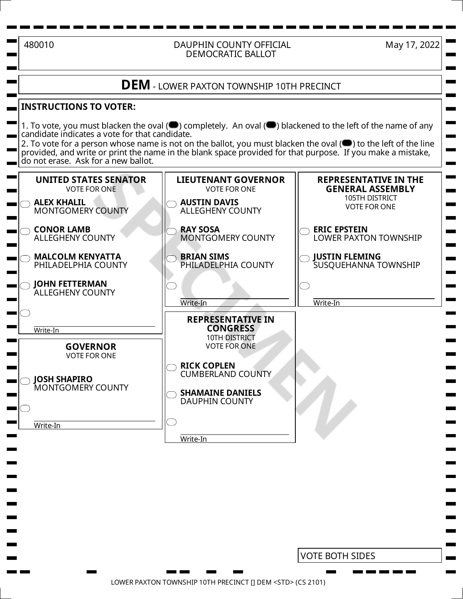## 480010 DAUPHIN COUNTY OFFICIAL DEMOCRATIC BALLOT

May 17, 2022

## **DEM** - LOWER PAXTON TOWNSHIP 10TH PRECINCT **INSTRUCTIONS TO VOTER:** 1. To vote, you must blacken the oval ( $\blacksquare$ ) completely. An oval ( $\blacksquare$ ) blackened to the left of the name of any candidate indicates a vote for that candidate. 2. To vote for a person whose name is not on the ballot, you must blacken the oval  $(\bullet)$  to the left of the line provided, and write or print the name in the blank space provided for that purpose. If you make a mistake, do not erase. Ask for a new ballot. **UNITED STATES SENATOR** VOTE FOR ONE **ALEX KHALIL** MONTGOMERY COUNTY **CONOR LAMB** ALLEGHENY COUNTY **LIEUTENANT GOVERNOR** VOTE FOR ONE **AUSTIN DAVIS** ALLEGHENY COUNTY **RAY SOSA** MONTGOMERY COUNTY **REPRESENTATIVE IN THE GENERAL ASSEMBLY** 105TH DISTRICT VOTE FOR ONE **ERIC EPSTEIN** LOWER PAXTON TOWNSHIP

**MALCOLM KENYATTA** PHILADELPHIA COUNTY

**JOHN FETTERMAN** ALLEGHENY COUNTY

> Write-In **GOVERNOR**

VOTE FOR ONE

**JOSH SHAPIRO** MONTGOMERY COUNTY

Write-In

**BRIAN SIMS** PHILADELPHIA COUNTY

Write-In **REPRESENTATIVE IN**

> **CONGRESS** 10TH DISTRICT VOTE FOR ONE

**RICK COPLEN** CUMBERLAND COUNTY

**SHAMAINE DANIELS** DAUPHIN COUNTY

Write-In

VOTE BOTH SIDES

**JUSTIN FLEMING**

Write-In

SUSQUEHANNA TOWNSHIP